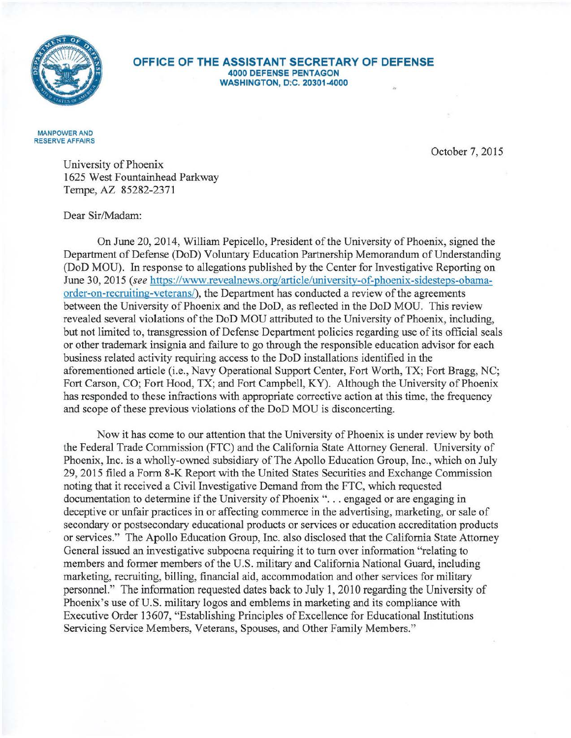

## **OFFICE OF THE ASSISTANT SECRETARY OF DEFENSE 4000 DEFENSE PENTAGON**  WASHINGTON, D.C. 20301-4000

MANPOWER AND RESERVE AFFAIRS

October 7, 2015

University of Phoenix 1625 West Fountainhead Parkway Tempe, AZ 85282-2371

Dear Sir/Madam:

On June 20, 2014, William Pepicello, President of the University of Phoenix, signed the Department of Defense (DoD) Voluntary Education Partnership Memorandum of Understanding (DoD MOU). In response to allegations published by the Center for Investigative Reporting on June 30, 2015 *(see* https://www.revealnews.org/article/university-of-phoenix-sidesteps-obamaorder-on-recruiting-veterans/), the Department has conducted a review of the agreements between the University of Phoenix and the DoD, as reflected in the DoD MOU. This review revealed several violations of the DoD MOU attributed to the University of Phoenix, including, but not limited to, transgression of Defense Department policies regarding use of its official seals or other trademark insignia and failure to go through the responsible education advisor for each business related activity requiring access to the DoD installations identified in the aforementioned article (i.e., Navy Operational Support Center, Fort Worth, TX; Fort Bragg, NC; Fort Carson, CO; Fort Hood, TX; and Fort Campbell, KY). Although the University of Phoenix has responded to these infractions with appropriate corrective action at this time, the frequency and scope of these previous violations of the DoD MOU is disconcerting.

Now it has come to our attention that the University of Phoenix is under review by both the Federal Trade Commission (FTC) and the California State Attorney General. University of Phoenix, Inc. is a wholly-owned subsidiary of The Apollo Education Group, Inc., which on July 29, 2015 filed a Form 8-K Report with the United States Securities and Exchange Commission noting that it received a Civil Investigative Demand from the FTC, which requested documentation to determine if the University of Phoenix "... engaged or are engaging in deceptive or unfair practices in or affecting commerce in the advertising, marketing, or sale of secondary or postsecondary educational products or services or education accreditation products or services." The Apollo Education Group, Inc. also disclosed that the California State Attorney General issued an investigative subpoena requiring it to turn over information "relating to members and former members of the U.S. military and California National Guard, including marketing, recruiting, billing, financial aid, accommodation and other services for military personnel." The information requested dates back to July 1, 2010 regarding the University of Phoenix's use of U.S. military logos and emblems in marketing and its compliance with Executive Order 13607, "Establishing Principles of Excellence for Educational Institutions Servicing Service Members, Veterans, Spouses, and Other Family Members."